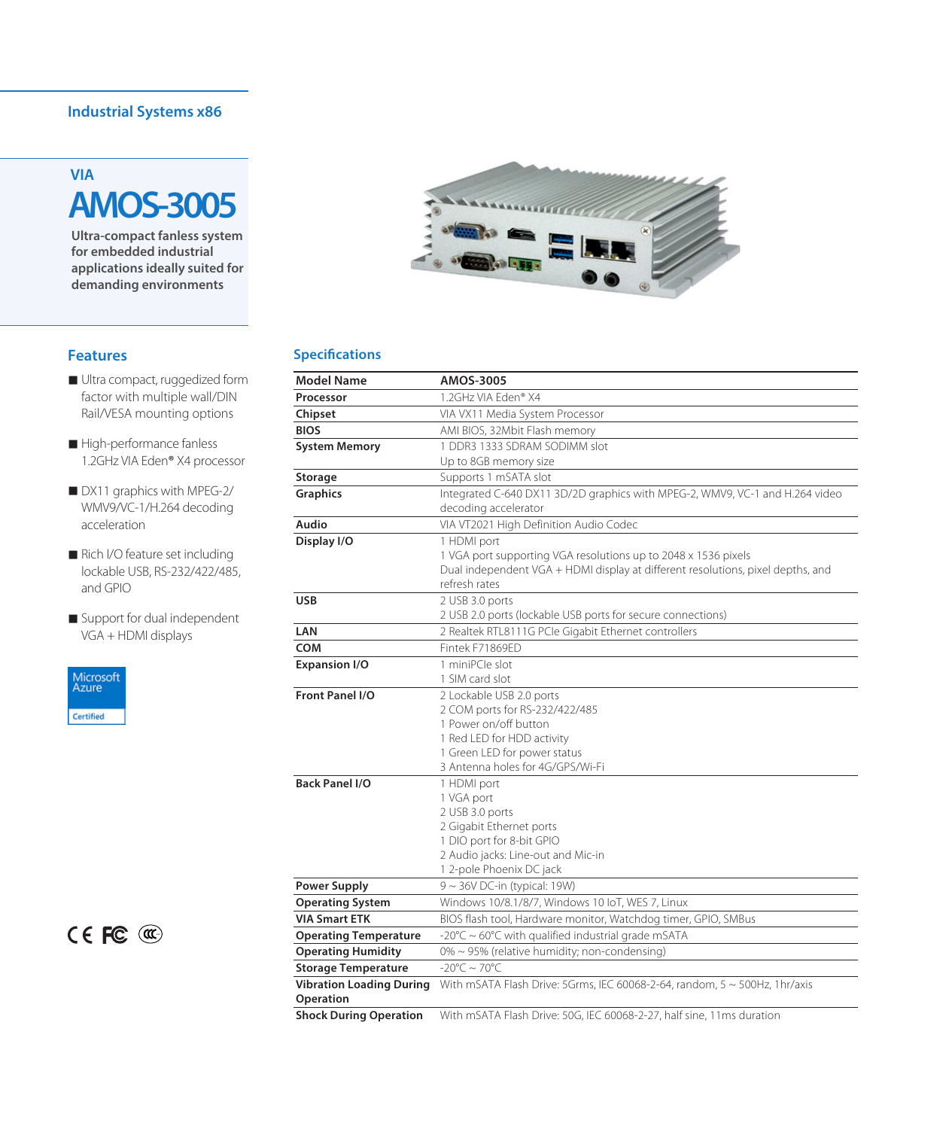#### **Industrial Systems x86**

**VIA**

# **AMOS-3005**

**Ultra-compact fanless system for embedded industrial applications ideally suited for demanding environments**

#### **Features**

- Ultra compact, ruggedized form factor with multiple wall/DIN Rail/VESA mounting options
- High-performance fanless 1.2GHz VIA Eden**®** X4 processor
- DX11 graphics with MPEG-2/ WMV9/VC-1/H.264 decoding acceleration
- Rich I/O feature set including lockable USB, RS-232/422/485, and GPIO
- Support for dual independent VGA + HDMI displays



## $CE$  $EC$  $@$



#### **Specifications**

| <b>Model Name</b>                                   | AMOS-3005                                                                        |
|-----------------------------------------------------|----------------------------------------------------------------------------------|
| Processor                                           | 1.2GHz VIA Eden® X4                                                              |
| Chipset                                             | VIA VX11 Media System Processor                                                  |
| <b>BIOS</b>                                         | AMI BIOS, 32Mbit Flash memory                                                    |
| <b>System Memory</b>                                | 1 DDR3 1333 SDRAM SODIMM slot                                                    |
|                                                     | Up to 8GB memory size                                                            |
| <b>Storage</b>                                      | Supports 1 mSATA slot                                                            |
| Graphics                                            | Integrated C-640 DX11 3D/2D graphics with MPEG-2, WMV9, VC-1 and H.264 video     |
|                                                     | decoding accelerator                                                             |
| Audio                                               | VIA VT2021 High Definition Audio Codec                                           |
| Display I/O                                         | 1 HDMI port                                                                      |
|                                                     | 1 VGA port supporting VGA resolutions up to 2048 x 1536 pixels                   |
|                                                     | Dual independent VGA + HDMI display at different resolutions, pixel depths, and  |
|                                                     | refresh rates                                                                    |
| USB                                                 | 2 USB 3.0 ports                                                                  |
| LAN                                                 | 2 USB 2.0 ports (lockable USB ports for secure connections)                      |
|                                                     | 2 Realtek RTL8111G PCIe Gigabit Ethernet controllers                             |
| COM                                                 | Fintek F71869ED<br>1 miniPCle slot                                               |
| <b>Expansion I/O</b>                                | 1 SIM card slot                                                                  |
| <b>Front Panel I/O</b>                              | 2 Lockable USB 2.0 ports                                                         |
|                                                     | 2 COM ports for RS-232/422/485                                                   |
|                                                     | 1 Power on/off button                                                            |
|                                                     | 1 Red LED for HDD activity                                                       |
|                                                     | 1 Green LED for power status                                                     |
|                                                     | 3 Antenna holes for 4G/GPS/Wi-Fi                                                 |
| <b>Back Panel I/O</b>                               | 1 HDMI port                                                                      |
|                                                     | 1 VGA port                                                                       |
|                                                     | 2 USB 3.0 ports                                                                  |
|                                                     | 2 Gigabit Ethernet ports                                                         |
|                                                     | 1 DIO port for 8-bit GPIO                                                        |
|                                                     | 2 Audio jacks: Line-out and Mic-in<br>1 2-pole Phoenix DC jack                   |
| <b>Power Supply</b>                                 | 9 ~ 36V DC-in (typical: 19W)                                                     |
|                                                     |                                                                                  |
| <b>Operating System</b><br><b>VIA Smart ETK</b>     | Windows 10/8.1/8/7, Windows 10 IoT, WES 7, Linux                                 |
|                                                     | BIOS flash tool, Hardware monitor, Watchdog timer, GPIO, SMBus                   |
| <b>Operating Temperature</b>                        | -20°C ~ 60°C with qualified industrial grade mSATA                               |
| <b>Operating Humidity</b>                           | 0% ~ 95% (relative humidity; non-condensing)                                     |
| <b>Storage Temperature</b>                          | $-20^{\circ}$ C ~ 70 $^{\circ}$ C                                                |
| <b>Vibration Loading During</b><br><b>Operation</b> | With mSATA Flash Drive: 5Grms, IEC 60068-2-64, random, $5 \sim 500$ Hz, 1hr/axis |
| <b>Shock During Operation</b>                       | With mSATA Flash Drive: 50G, IEC 60068-2-27, half sine, 11ms duration            |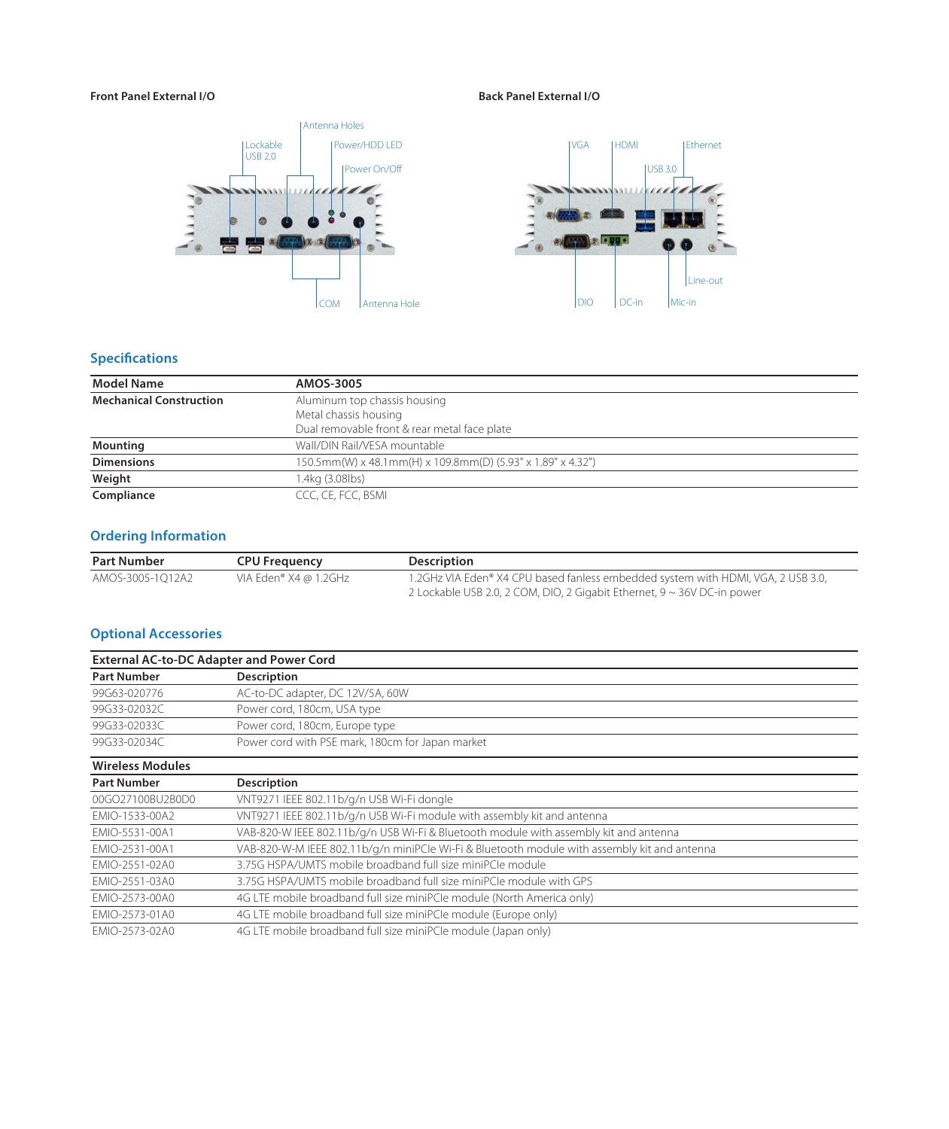#### **Front Panel External I/O Back Panel External I/O**





### **Specifications**

| <b>Model Name</b>              | AMOS-3005                                                   |  |
|--------------------------------|-------------------------------------------------------------|--|
| <b>Mechanical Construction</b> | Aluminum top chassis housing                                |  |
|                                | Metal chassis housing                                       |  |
|                                | Dual removable front & rear metal face plate                |  |
| Mounting                       | Wall/DIN Rail/VESA mountable                                |  |
| <b>Dimensions</b>              | 150.5mm(W) x 48.1mm(H) x 109.8mm(D) (5.93" x 1.89" x 4.32") |  |
| Weight                         | 1.4kg (3.08lbs)                                             |  |
| Compliance                     | CCC, CE, FCC, BSMI                                          |  |

### **Ordering Information**

| <b>Part Number</b> | <b>CPU Frequency</b>  | Description                                                                      |
|--------------------|-----------------------|----------------------------------------------------------------------------------|
| AMOS-3005-1012A2   | VIA Eden® X4 @ 1.2GHz | 1.2GHz VIA Eden® X4 CPU based fanless embedded system with HDMI, VGA, 2 USB 3.0, |
|                    |                       | 2 Lockable USB 2.0, 2 COM, DIO, 2 Gigabit Ethernet, 9 ~ 36V DC-in power          |

#### **Optional Accessories**

| <b>External AC-to-DC Adapter and Power Cord</b> |                                                  |  |
|-------------------------------------------------|--------------------------------------------------|--|
| <b>Part Number</b>                              | <b>Description</b>                               |  |
| 99G63-020776                                    | AC-to-DC adapter, DC 12V/5A, 60W                 |  |
| 99G33-02032C                                    | Power cord, 180cm, USA type                      |  |
| 99G33-02033C                                    | Power cord, 180cm, Europe type                   |  |
| 99G33-02034C                                    | Power cord with PSE mark, 180cm for Japan market |  |
| <b>Wireless Modules</b>                         |                                                  |  |

| <b>Part Number</b> | Description                                                                                  |
|--------------------|----------------------------------------------------------------------------------------------|
| 00GO27100BU2B0D0   | VNT9271 IEEE 802.11b/g/n USB Wi-Fi dongle                                                    |
| EMIO-1533-00A2     | VNT9271 IEEE 802.11b/g/n USB Wi-Fi module with assembly kit and antenna                      |
| EMIO-5531-00A1     | VAB-820-W IEEE 802.11b/g/n USB Wi-Fi & Bluetooth module with assembly kit and antenna        |
| FMIO-2531-00A1     | VAB-820-W-M IEEE 802.11b/g/n miniPCle Wi-Fi & Bluetooth module with assembly kit and antenna |
| EMIO-2551-02A0     | 3.75G HSPA/UMTS mobile broadband full size miniPCle module                                   |
| EMIO-2551-03A0     | 3.75G HSPA/UMTS mobile broadband full size miniPCIe module with GPS                          |
| EMIO-2573-00A0     | 4G LTE mobile broadband full size miniPCIe module (North America only)                       |
| EMIO-2573-01A0     | 4G LTE mobile broadband full size miniPCIe module (Europe only)                              |
| FMIO-2573-02A0     | 4G LTE mobile broadband full size miniPCIe module (Japan only)                               |